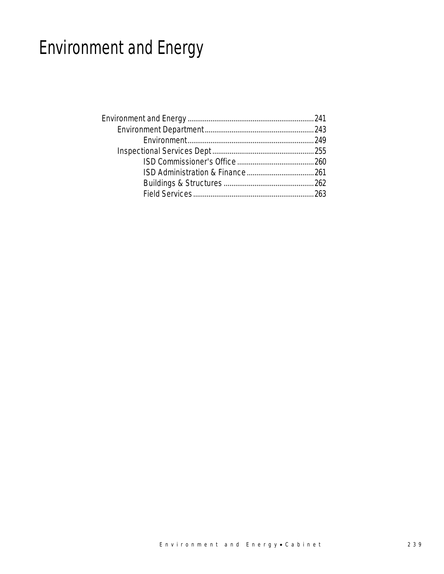# Environment and Energy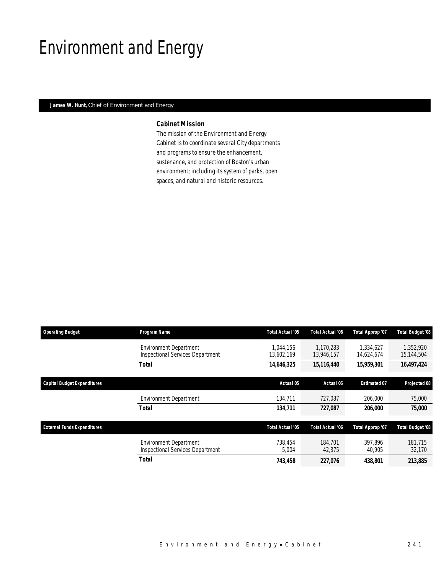## Environment and Energy

### *James W. Hunt, Chief of Environment and Energy*

### *Cabinet Mission*

The mission of the Environment and Energy Cabinet is to coordinate several City departments and programs to ensure the enhancement, sustenance, and protection of Boston's urban environment; including its system of parks, open spaces, and natural and historic resources.

| <b>Operating Budget</b>            | Program Name                                                             | Total Actual '05        | <b>Total Actual '06</b> | Total Approp '07        | <b>Total Budget '08</b> |
|------------------------------------|--------------------------------------------------------------------------|-------------------------|-------------------------|-------------------------|-------------------------|
|                                    | <b>Environment Department</b><br>Inspectional Services Department        | 1.044.156<br>13,602,169 | 1.170.283<br>13,946,157 | 1.334.627<br>14,624,674 | 1.352.920<br>15,144,504 |
|                                    | <b>Total</b>                                                             | 14,646,325              | 15,116,440              | 15,959,301              | 16,497,424              |
| <b>Capital Budget Expenditures</b> |                                                                          | Actual 05               | Actual 06               | <b>Estimated 07</b>     | Projected 08            |
|                                    | <b>Environment Department</b>                                            | 134,711                 | 727,087                 | 206,000                 | 75,000                  |
|                                    | <b>Total</b>                                                             | 134,711                 | 727,087                 | 206,000                 | 75,000                  |
| <b>External Funds Expenditures</b> |                                                                          | Total Actual '05        | Total Actual '06        | Total Approp '07        | <b>Total Budget '08</b> |
|                                    | <b>Environment Department</b><br><b>Inspectional Services Department</b> | 738.454<br>5,004        | 184,701<br>42,375       | 397.896<br>40,905       | 181.715<br>32,170       |
|                                    | <b>Total</b>                                                             | 743,458                 | 227,076                 | 438,801                 | 213,885                 |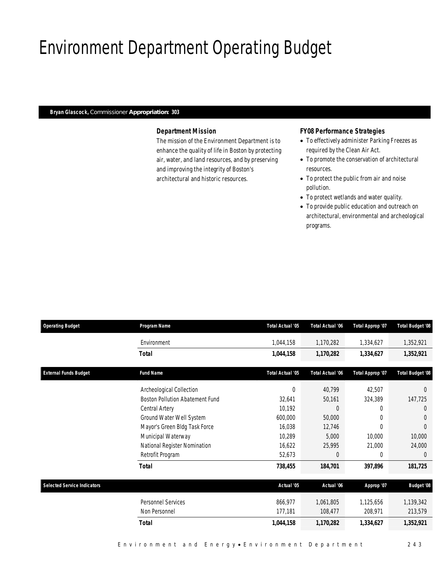## Environment Department Operating Budget

### *Bryan Glascock, Commissioner Appropriation: 303*

### *Department Mission*

The mission of the Environment Department is to enhance the quality of life in Boston by protecting air, water, and land resources, and by preserving and improving the integrity of Boston's architectural and historic resources.

### *FY08 Performance Strategies*

- To effectively administer Parking Freezes as required by the Clean Air Act.
- To promote the conservation of architectural resources.
- To protect the public from air and noise pollution.
- To protect wetlands and water quality.
- To provide public education and outreach on architectural, environmental and archeological programs.

| <b>Operating Budget</b>            | Program Name                    | Total Actual '05 | <b>Total Actual '06</b> | Total Approp '07 | <b>Total Budget '08</b> |
|------------------------------------|---------------------------------|------------------|-------------------------|------------------|-------------------------|
|                                    | Environment                     | 1,044,158        | 1,170,282               | 1,334,627        | 1,352,921               |
|                                    | <b>Total</b>                    | 1,044,158        | 1,170,282               | 1,334,627        | 1,352,921               |
| <b>External Funds Budget</b>       | <b>Fund Name</b>                | Total Actual '05 | Total Actual '06        | Total Approp '07 | <b>Total Budget '08</b> |
|                                    | Archeological Collection        | 0                | 40,799                  | 42,507           | $\Omega$                |
|                                    | Boston Pollution Abatement Fund | 32,641           | 50,161                  | 324,389          | 147,725                 |
|                                    | Central Artery                  | 10,192           | $\Omega$                | $\Omega$         | $\Omega$                |
|                                    | Ground Water Well System        | 600,000          | 50,000                  | $\Omega$         | $\theta$                |
|                                    | Mayor's Green Bldg Task Force   | 16,038           | 12,746                  | 0                | $\Omega$                |
|                                    | Municipal Waterway              | 10,289           | 5,000                   | 10,000           | 10,000                  |
|                                    | National Register Nomination    | 16,622           | 25,995                  | 21,000           | 24,000                  |
|                                    | Retrofit Program                | 52,673           | $\theta$                | 0                | $\theta$                |
|                                    | <b>Total</b>                    | 738,455          | 184,701                 | 397,896          | 181,725                 |
| <b>Selected Service Indicators</b> |                                 | Actual '05       | Actual '06              | Approp '07       | <b>Budget '08</b>       |
|                                    | Personnel Services              | 866,977          | 1,061,805               | 1,125,656        | 1,139,342               |
|                                    | Non Personnel                   | 177,181          | 108,477                 | 208,971          | 213,579                 |
|                                    | <b>Total</b>                    | 1,044,158        | 1,170,282               | 1,334,627        | 1,352,921               |
|                                    |                                 |                  |                         |                  |                         |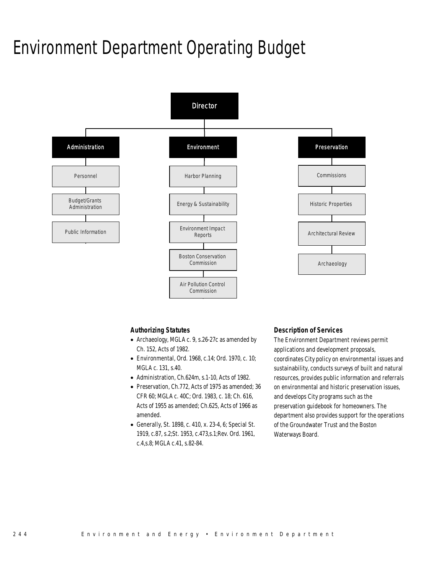### Environment Department Operating Budget



#### *Authorizing Statutes*

- Archaeology, MGLA c. 9, s.26-27c as amended by Ch. 152, Acts of 1982.
- Environmental, Ord. 1968, c.14; Ord. 1970, c. 10; MGLA c. 131, s.40.
- Administration, Ch.624m, s.1-10, Acts of 1982.
- Preservation, Ch.772, Acts of 1975 as amended; 36 CFR 60; MGLA c. 40C; Ord. 1983, c. 18; Ch. 616, Acts of 1955 as amended; Ch.625, Acts of 1966 as amended.
- Generally, St. 1898, c. 410, x. 23-4, 6; Special St. 1919, c.87, s.2;St. 1953, c.473,s.1;Rev. Ord. 1961, c.4,s.8; MGLA c.41, s.82-84.

#### *Description of Services*

The Environment Department reviews permit applications and development proposals, coordinates City policy on environmental issues and sustainability, conducts surveys of built and natural resources, provides public information and referrals on environmental and historic preservation issues, and develops City programs such as the preservation guidebook for homeowners. The department also provides support for the operations of the Groundwater Trust and the Boston Waterways Board.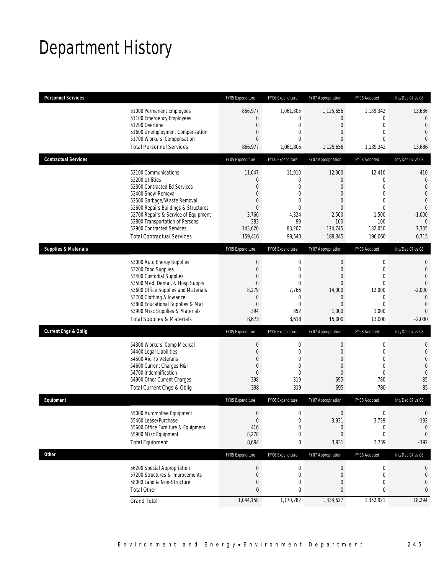## Department History

| <b>Personnel Services</b>       |                                                                                                                                                                                                                                                                                                                   | FY05 Expenditure                                                                                                                   | FY06 Expenditure                                                                                    | FY07 Appropriation                                                                                                                     | FY08 Adopted                                                                                                                        | Inc/Dec 07 vs 08                                                                                                                              |
|---------------------------------|-------------------------------------------------------------------------------------------------------------------------------------------------------------------------------------------------------------------------------------------------------------------------------------------------------------------|------------------------------------------------------------------------------------------------------------------------------------|-----------------------------------------------------------------------------------------------------|----------------------------------------------------------------------------------------------------------------------------------------|-------------------------------------------------------------------------------------------------------------------------------------|-----------------------------------------------------------------------------------------------------------------------------------------------|
|                                 | 51000 Permanent Employees<br>51100 Emergency Employees<br>51200 Overtime<br>51600 Unemployment Compensation<br>51700 Workers' Compensation<br><b>Total Personnel Services</b>                                                                                                                                     | 866,977<br>$\mathbf{0}$<br>$\mathbf{0}$<br>$\mathbf 0$<br>$\overline{0}$<br>866,977                                                | 1,061,805<br>0<br>$\overline{0}$<br>0<br>$\Omega$<br>1,061,805                                      | 1,125,656<br>$\overline{0}$<br>$\overline{0}$<br>$\overline{0}$<br>$\Omega$<br>1,125,656                                               | 1,139,342<br>0<br>$\overline{0}$<br>$\overline{0}$<br>$\Omega$<br>1,139,342                                                         | 13,686<br>$\overline{0}$<br>$\overline{0}$<br>$\overline{0}$<br>$\Omega$<br>13,686                                                            |
| <b>Contractual Services</b>     |                                                                                                                                                                                                                                                                                                                   | FY05 Expenditure                                                                                                                   | FY06 Expenditure                                                                                    | FY07 Appropriation                                                                                                                     | FY08 Adopted                                                                                                                        | Inc/Dec 07 vs 08                                                                                                                              |
|                                 | 52100 Communications<br>52200 Utilities<br>52300 Contracted Ed Services<br>52400 Snow Removal<br>52500 Garbage/Waste Removal<br>52600 Repairs Buildings & Structures<br>52700 Repairs & Service of Equipment<br>52800 Transportation of Persons<br>52900 Contracted Services<br><b>Total Contractual Services</b> | 11,647<br>$\mathbf{0}$<br>$\overline{0}$<br>$\overline{0}$<br>$\mathbf{0}$<br>$\overline{0}$<br>3,766<br>383<br>143,620<br>159,416 | 11,910<br>0<br>$\overline{0}$<br>$\overline{0}$<br>0<br>$\Omega$<br>4,324<br>99<br>83,207<br>99,540 | 12,000<br>$\overline{0}$<br>$\overline{0}$<br>$\overline{0}$<br>$\overline{0}$<br>$\overline{0}$<br>2,500<br>100<br>174,745<br>189,345 | 12,410<br>$\mathbf 0$<br>$\overline{0}$<br>$\overline{0}$<br>$\overline{0}$<br>$\overline{0}$<br>1,500<br>100<br>182,050<br>196,060 | 410<br>$\theta$<br>$\overline{0}$<br>$\overline{0}$<br>$\mathbf 0$<br>$\overline{0}$<br>$-1,000$<br>$\overline{0}$<br>7,305<br>6,715          |
| <b>Supplies &amp; Materials</b> |                                                                                                                                                                                                                                                                                                                   | FY05 Expenditure                                                                                                                   | FY06 Expenditure                                                                                    | FY07 Appropriation                                                                                                                     | FY08 Adopted                                                                                                                        | Inc/Dec 07 vs 08                                                                                                                              |
|                                 | 53000 Auto Energy Supplies<br>53200 Food Supplies<br>53400 Custodial Supplies<br>53500 Med, Dental, & Hosp Supply<br>53600 Office Supplies and Materials<br>53700 Clothing Allowance<br>53800 Educational Supplies & Mat<br>53900 Misc Supplies & Materials<br><b>Total Supplies &amp; Materials</b>              | $\mathbf 0$<br>$\mathbf{0}$<br>$\overline{0}$<br>$\theta$<br>8,279<br>$\mathbf{0}$<br>$\mathbf{0}$<br>394<br>8,673                 | 0<br>$\mathbf{0}$<br>$\overline{0}$<br>0<br>7,766<br>0<br>$\mathbf{0}$<br>852<br>8,618              | $\mathbf 0$<br>$\mathbf 0$<br>$\overline{0}$<br>$\overline{0}$<br>14,000<br>$\overline{0}$<br>$\Omega$<br>1,000<br>15,000              | $\mathbf 0$<br>$\overline{0}$<br>$\overline{0}$<br>$\overline{0}$<br>12,000<br>$\mathbf 0$<br>$\Omega$<br>1,000<br>13,000           | $\mathbf{0}$<br>$\overline{0}$<br>$\overline{0}$<br>$\mathbf 0$<br>$-2,000$<br>$\overline{0}$<br>$\overline{0}$<br>$\overline{0}$<br>$-2,000$ |
| <b>Current Chgs &amp; Oblig</b> |                                                                                                                                                                                                                                                                                                                   | FY05 Expenditure                                                                                                                   | FY06 Expenditure                                                                                    | FY07 Appropriation                                                                                                                     | FY08 Adopted                                                                                                                        | Inc/Dec 07 vs 08                                                                                                                              |
|                                 | 54300 Workers' Comp Medical<br>54400 Legal Liabilities<br>54500 Aid To Veterans<br>54600 Current Charges H&I<br>54700 Indemnification<br>54900 Other Current Charges<br>Total Current Chgs & Oblig                                                                                                                | $\mathbf{0}$<br>$\mathbf{0}$<br>$\mathbf{0}$<br>$\mathbf{0}$<br>$\mathbf{0}$<br>398<br>398                                         | $\mathbf 0$<br>$\mathbf{0}$<br>0<br>$\mathbf{0}$<br>$\mathbf{0}$<br>319<br>319                      | $\mathbf 0$<br>$\mathbf 0$<br>$\overline{0}$<br>$\overline{0}$<br>$\boldsymbol{0}$<br>695<br>695                                       | $\mathbf 0$<br>$\overline{0}$<br>$\mathbf 0$<br>$\mathbf 0$<br>$\mathbf 0$<br>780<br>780                                            | $\mathbf 0$<br>$\mathbf{0}$<br>$\mathbf{0}$<br>$\mathbf 0$<br>$\overline{0}$<br>85<br>85                                                      |
| Equipment                       |                                                                                                                                                                                                                                                                                                                   | FY05 Expenditure                                                                                                                   | FY06 Expenditure                                                                                    | FY07 Appropriation                                                                                                                     | FY08 Adopted                                                                                                                        | Inc/Dec 07 vs 08                                                                                                                              |
|                                 | 55000 Automotive Equipment<br>55400 Lease/Purchase<br>55600 Office Furniture & Equipment<br>55900 Misc Equipment<br><b>Total Equipment</b>                                                                                                                                                                        | $\Omega$<br>$\mathbf{0}$<br>416<br>8,278<br>8,694                                                                                  | $\Omega$<br>$\mathbf 0$<br>0<br>0<br>0                                                              | $\Omega$<br>3,931<br>0<br>$\mathbf{0}$<br>3,931                                                                                        | $\Omega$<br>3,739<br>0<br>0<br>3,739                                                                                                | $\theta$<br>$-192$<br>$\mathbf 0$<br>$\overline{0}$<br>$-192$                                                                                 |
| <b>Other</b>                    |                                                                                                                                                                                                                                                                                                                   | FY05 Expenditure                                                                                                                   | FY06 Expenditure                                                                                    | FY07 Appropriation                                                                                                                     | FY08 Adopted                                                                                                                        | Inc/Dec 07 vs 08                                                                                                                              |
|                                 | 56200 Special Appropriation<br>57200 Structures & Improvements<br>58000 Land & Non-Structure<br><b>Total Other</b>                                                                                                                                                                                                | $\theta$<br>$\mathbf 0$<br>$\mathbf{0}$<br>$\mathbf{0}$                                                                            | $\boldsymbol{0}$<br>$\mathbf 0$<br>0<br>0                                                           | $\boldsymbol{0}$<br>0<br>0<br>0                                                                                                        | $\boldsymbol{0}$<br>0<br>0<br>0                                                                                                     | 0<br>0<br>0<br>$\mathbf{0}$                                                                                                                   |
|                                 | <b>Grand Total</b>                                                                                                                                                                                                                                                                                                | 1,044,158                                                                                                                          | 1,170,282                                                                                           | 1,334,627                                                                                                                              | 1,352,921                                                                                                                           | 18,294                                                                                                                                        |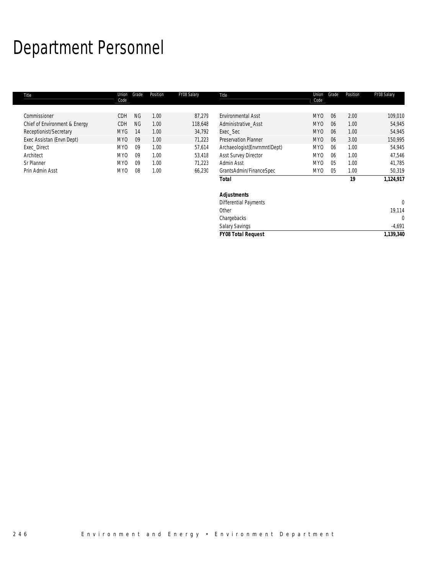# Department Personnel

| Title                         | Union<br>Code   | Grade     | Position | FY08 Salary | Title                        | Union<br>Code   | Grade | Position | FY08 Salary  |
|-------------------------------|-----------------|-----------|----------|-------------|------------------------------|-----------------|-------|----------|--------------|
|                               |                 |           |          |             |                              |                 |       |          |              |
| Commissioner                  | CDH             | <b>NG</b> | 1.00     | 87,279      | <b>Environmental Asst</b>    | MY <sub>0</sub> | 06    | 2.00     | 109,010      |
| Chief of Environment & Energy | CDH             | <b>NG</b> | 1.00     | 118,648     | Administrative Asst          | MY <sub>0</sub> | 06    | 1.00     | 54,945       |
| Receptionist/Secretary        | <b>MYG</b>      | 14        | 1.00     | 34,792      | Exec_Sec                     | MY <sub>0</sub> | 06    | 1.00     | 54,945       |
| Exec Assistan (Envn Dept)     | MY <sub>0</sub> | 09        | 1.00     | 71,223      | <b>Preservation Planner</b>  | MY <sub>0</sub> | 06    | 3.00     | 150,995      |
| Exec_Direct                   | MY <sub>0</sub> | 09        | 1.00     | 57,614      | Archaeologist(EnvrnmntIDept) | MY <sub>0</sub> | 06    | 1.00     | 54,945       |
| Architect                     | MY <sub>0</sub> | 09        | 1.00     | 53,418      | <b>Asst Survey Director</b>  | MY <sub>0</sub> | 06    | 1.00     | 47,546       |
| Sr Planner                    | MY <sub>0</sub> | 09        | 1.00     | 71,223      | Admin Asst                   | MY <sub>0</sub> | 05    | 1.00     | 41,785       |
| Prin Admin Asst               | MY0             | 08        | 1.00     | 66,230      | GrantsAdmin/FinanceSpec      | MY0             | 05    | 1.00     | 50,319       |
|                               |                 |           |          |             | Total                        |                 |       | 19       | 1,124,917    |
|                               |                 |           |          |             | <b>Adjustments</b>           |                 |       |          |              |
|                               |                 |           |          |             | Differential Payments        |                 |       |          | $\Omega$     |
|                               |                 |           |          |             | Other                        |                 |       |          | 19,114       |
|                               |                 |           |          |             | Chargebacks                  |                 |       |          | $\mathbf{0}$ |
|                               |                 |           |          |             | <b>Salary Savings</b>        |                 |       |          | $-4,691$     |

*FY08 Total Request 1,139,340*

| Environment and Energy • Environment Department<br>246 |  |
|--------------------------------------------------------|--|
|--------------------------------------------------------|--|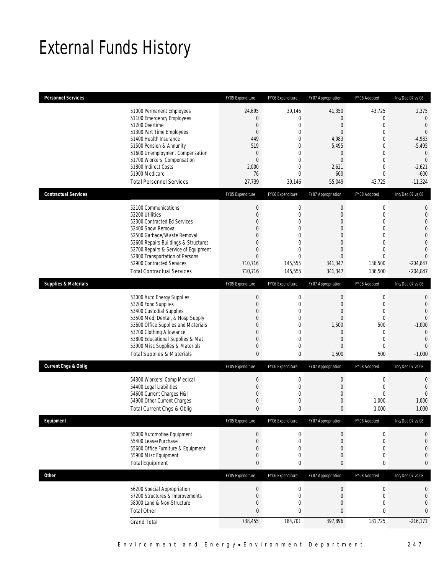## External Funds History

| <b>Personnel Services</b>       |                                                                                                                                                                                                                                                                                                                   | FY05 Expenditure                                                                                                                               | FY06 Expenditure                                                                                                                                     | FY07 Appropriation                                                                                                                  | FY08 Adopted                                                                                                                                           | Inc/Dec 07 vs 08                                                                                                                                       |
|---------------------------------|-------------------------------------------------------------------------------------------------------------------------------------------------------------------------------------------------------------------------------------------------------------------------------------------------------------------|------------------------------------------------------------------------------------------------------------------------------------------------|------------------------------------------------------------------------------------------------------------------------------------------------------|-------------------------------------------------------------------------------------------------------------------------------------|--------------------------------------------------------------------------------------------------------------------------------------------------------|--------------------------------------------------------------------------------------------------------------------------------------------------------|
|                                 | 51000 Permanent Employees<br>51100 Emergency Employees<br>51200 Overtime<br>51300 Part Time Employees<br>51400 Health Insurance<br>51500 Pension & Annunity<br>51600 Unemployment Compensation<br>51700 Workers' Compensation<br>51800 Indirect Costs<br>51900 Medicare<br><b>Total Personnel Services</b>        | 24,695<br>$\overline{0}$<br>$\mathbf{0}$<br>$\theta$<br>449<br>519<br>$\theta$<br>$\mathbf{0}$<br>2,000<br>76<br>27,739                        | 39,146<br>$\mathbf{0}$<br>$\mathbf 0$<br>$\mathbf{0}$<br>$\Omega$<br>$\overline{0}$<br>$\mathbf{0}$<br>$\mathbf{0}$<br>0<br>$\overline{0}$<br>39,146 | 41,350<br>0<br>$\boldsymbol{0}$<br>$\overline{0}$<br>4,983<br>5,495<br>$\mathbf 0$<br>$\boldsymbol{0}$<br>2,621<br>600<br>55,049    | 43,725<br>0<br>$\mathbf 0$<br>$\overline{0}$<br>$\Omega$<br>$\overline{0}$<br>$\mathbf 0$<br>$\mathbf 0$<br>$\overline{0}$<br>$\overline{0}$<br>43,725 | 2,375<br>$\mathbf{0}$<br>$\overline{0}$<br>$\overline{0}$<br>$-4,983$<br>$-5,495$<br>$\mathbf{0}$<br>$\overline{0}$<br>$-2,621$<br>$-600$<br>$-11,324$ |
| <b>Contractual Services</b>     |                                                                                                                                                                                                                                                                                                                   | FY05 Expenditure                                                                                                                               | FY06 Expenditure                                                                                                                                     | FY07 Appropriation                                                                                                                  | FY08 Adopted                                                                                                                                           | Inc/Dec 07 vs 08                                                                                                                                       |
|                                 | 52100 Communications<br>52200 Utilities<br>52300 Contracted Ed Services<br>52400 Snow Removal<br>52500 Garbage/Waste Removal<br>52600 Repairs Buildings & Structures<br>52700 Repairs & Service of Equipment<br>52800 Transportation of Persons<br>52900 Contracted Services<br><b>Total Contractual Services</b> | $\boldsymbol{0}$<br>$\overline{0}$<br>$\Omega$<br>$\mathbf{0}$<br>$\Omega$<br>$\overline{0}$<br>$\mathbf{0}$<br>$\Omega$<br>710,716<br>710,716 | $\mathbf 0$<br>$\mathbf{0}$<br>$\Omega$<br>$\overline{0}$<br>$\mathbf{0}$<br>$\mathbf{0}$<br>0<br>$\Omega$<br>145,555<br>145,555                     | $\boldsymbol{0}$<br>$\boldsymbol{0}$<br>$\overline{0}$<br>$\overline{0}$<br>0<br>$\mathbf 0$<br>0<br>$\Omega$<br>341,347<br>341,347 | $\boldsymbol{0}$<br>$\mathbf 0$<br>$\overline{0}$<br>$\overline{0}$<br>0<br>$\overline{0}$<br>$\overline{0}$<br>$\Omega$<br>136,500<br>136,500         | $\mathbf{0}$<br>$\mathbf{0}$<br>$\Omega$<br>$\overline{0}$<br>$\overline{0}$<br>$\Omega$<br>$\Omega$<br>$\Omega$<br>$-204,847$<br>$-204,847$           |
| <b>Supplies &amp; Materials</b> |                                                                                                                                                                                                                                                                                                                   | FY05 Expenditure                                                                                                                               | FY06 Expenditure                                                                                                                                     | FY07 Appropriation                                                                                                                  | FY08 Adopted                                                                                                                                           | Inc/Dec 07 vs 08                                                                                                                                       |
|                                 | 53000 Auto Energy Supplies<br>53200 Food Supplies<br>53400 Custodial Supplies<br>53500 Med, Dental, & Hosp Supply<br>53600 Office Supplies and Materials<br>53700 Clothing Allowance<br>53800 Educational Supplies & Mat<br>53900 Misc Supplies & Materials<br><b>Total Supplies &amp; Materials</b>              | $\mathbf{0}$<br>$\mathbf{0}$<br>$\overline{0}$<br>$\mathbf{0}$<br>$\overline{0}$<br>0<br>$\mathbf{0}$<br>$\mathbf 0$<br>$\mathbf{0}$           | $\mathbf 0$<br>$\mathbf{0}$<br>$\mathbf 0$<br>$\mathbf{0}$<br>$\mathbf 0$<br>0<br>$\mathbf{0}$<br>$\mathbf{0}$<br>0                                  | $\boldsymbol{0}$<br>$\mathbf 0$<br>$\mathbf 0$<br>0<br>1,500<br>$\mathbf 0$<br>$\theta$<br>$\mathbf{0}$<br>1,500                    | $\mathbf 0$<br>$\mathbf{0}$<br>$\mathbf 0$<br>$\mathbf{0}$<br>500<br>$\mathbf{0}$<br>$\mathbf{0}$<br>$\mathbf{0}$<br>500                               | $\mathbf{0}$<br>$\overline{0}$<br>$\Omega$<br>$\mathbf{0}$<br>$-1,000$<br>$\mathbf{0}$<br>$\Omega$<br>$\overline{0}$<br>$-1,000$                       |
| <b>Current Chgs &amp; Oblig</b> |                                                                                                                                                                                                                                                                                                                   | FY05 Expenditure                                                                                                                               | FY06 Expenditure                                                                                                                                     | FY07 Appropriation                                                                                                                  | FY08 Adopted                                                                                                                                           | Inc/Dec 07 vs 08                                                                                                                                       |
|                                 | 54300 Workers' Comp Medical<br>54400 Legal Liabilities<br>54600 Current Charges H&I<br>54900 Other Current Charges<br>Total Current Chgs & Oblig                                                                                                                                                                  | $\mathbf{0}$<br>$\mathbf{0}$<br>$\overline{0}$<br>$\mathbf{0}$<br>$\mathbf{0}$                                                                 | $\mathbf 0$<br>$\mathbf{0}$<br>$\mathbf 0$<br>$\mathbf{0}$<br>$\theta$                                                                               | $\boldsymbol{0}$<br>$\mathbf 0$<br>$\mathbf 0$<br>$\theta$<br>$\theta$                                                              | $\mathbf 0$<br>$\mathbf{0}$<br>$\mathbf 0$<br>1,000<br>1,000                                                                                           | 0<br>$\mathbf{0}$<br>$\Omega$<br>1,000<br>1,000                                                                                                        |
| Equipment                       |                                                                                                                                                                                                                                                                                                                   | FY05 Expenditure                                                                                                                               | FY06 Expenditure                                                                                                                                     | FY07 Appropriation                                                                                                                  | FY08 Adopted                                                                                                                                           | Inc/Dec 07 vs 08                                                                                                                                       |
|                                 | 55000 Automotive Equipment<br>55400 Lease/Purchase<br>55600 Office Furniture & Equipment<br>55900 Misc Equipment<br><b>Total Equipment</b>                                                                                                                                                                        | $\theta$<br>$\mathbf 0$<br>$\mathbf{0}$<br>$\mathbf 0$<br>$\mathbf{0}$                                                                         | $\boldsymbol{0}$<br>$\mathbf 0$<br>0<br>$\mathbf 0$<br>0                                                                                             | $\boldsymbol{0}$<br>$\boldsymbol{0}$<br>$\theta$<br>$\theta$<br>0                                                                   | 0<br>$\mathbf 0$<br>$\mathbf 0$<br>0<br>0                                                                                                              | 0<br>$\overline{0}$<br>0<br>$\mathbf{0}$<br>$\bf{0}$                                                                                                   |
| <b>Other</b>                    |                                                                                                                                                                                                                                                                                                                   | FY05 Expenditure                                                                                                                               | FY06 Expenditure                                                                                                                                     | FY07 Appropriation                                                                                                                  | FY08 Adopted                                                                                                                                           | Inc/Dec 07 vs 08                                                                                                                                       |
|                                 | 56200 Special Appropriation<br>57200 Structures & Improvements<br>58000 Land & Non-Structure<br><b>Total Other</b><br><b>Grand Total</b>                                                                                                                                                                          | $\boldsymbol{0}$<br>$\mathbf{0}$<br>$\mathbf 0$<br>$\mathbf{0}$<br>738,455                                                                     | $\mathbf 0$<br>$\mathbf 0$<br>$\mathbf 0$<br>0<br>184,701                                                                                            | $\boldsymbol{0}$<br>$\mathbf 0$<br>$\theta$<br>0<br>397,896                                                                         | $\boldsymbol{0}$<br>$\mathbf 0$<br>0<br>0<br>181,725                                                                                                   | $\mathbf{0}$<br>$\mathbf{0}$<br>$\overline{0}$<br>$\mathbf{0}$<br>$-216,171$                                                                           |
|                                 |                                                                                                                                                                                                                                                                                                                   |                                                                                                                                                |                                                                                                                                                      |                                                                                                                                     |                                                                                                                                                        |                                                                                                                                                        |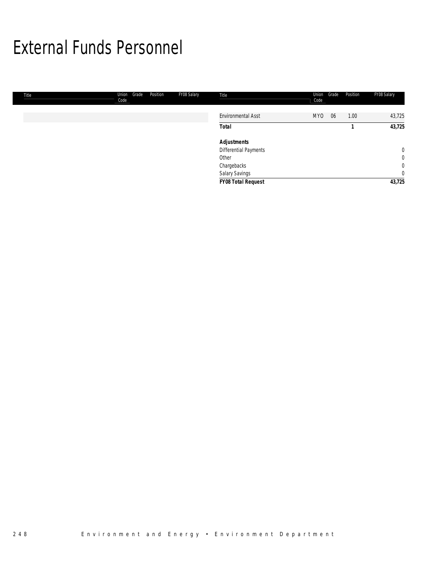### External Funds Personnel

| Title | Union<br>Code | Grade | Position | FY08 Salary | Title                     | Union<br>Code | Grade | Position | FY08 Salary    |
|-------|---------------|-------|----------|-------------|---------------------------|---------------|-------|----------|----------------|
|       |               |       |          |             | <b>Environmental Asst</b> | MY0           | 06    | 1.00     | 43,725         |
|       |               |       |          |             | <b>Total</b>              |               |       |          | 43,725         |
|       |               |       |          |             | <b>Adjustments</b>        |               |       |          |                |
|       |               |       |          |             | Differential Payments     |               |       |          | $\mathbf 0$    |
|       |               |       |          |             | Other                     |               |       |          | $\overline{0}$ |
|       |               |       |          |             | Chargebacks               |               |       |          | $\overline{0}$ |
|       |               |       |          |             | Salary Savings            |               |       |          | $\overline{0}$ |
|       |               |       |          |             | FY08 Total Request        |               |       |          | 43,725         |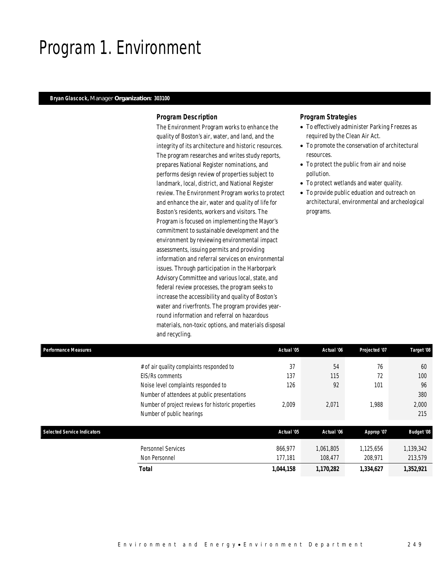### Program 1. Environment

#### *Bryan Glascock, Manager Organization: 303100*

#### *Program Description*

The Environment Program works to enhance the quality of Boston's air, water, and land, and the integrity of its architecture and historic resources. The program researches and writes study reports, prepares National Register nominations, and performs design review of properties subject to landmark, local, district, and National Register review. The Environment Program works to protect and enhance the air, water and quality of life for Boston's residents, workers and visitors. The Program is focused on implementing the Mayor's commitment to sustainable development and the environment by reviewing environmental impact assessments, issuing permits and providing information and referral services on environmental issues. Through participation in the Harborpark Advisory Committee and various local, state, and federal review processes, the program seeks to increase the accessibility and quality of Boston's water and riverfronts. The program provides yearround information and referral on hazardous materials, non-toxic options, and materials disposal and recycling.

#### *Program Strategies*

- To effectively administer Parking Freezes as required by the Clean Air Act.
- To promote the conservation of architectural resources.
- To protect the public from air and noise pollution.
- To protect wetlands and water quality.
- To provide public eduation and outreach on architectural, environmental and archeological programs.

| <b>Performance Measures</b>        |                                                                                    | Actual '05         | Actual '06           | Projected '07        | Target '08           |
|------------------------------------|------------------------------------------------------------------------------------|--------------------|----------------------|----------------------|----------------------|
|                                    | # of air quality complaints responded to<br>EIS/Rs comments                        | 37<br>137          | 54<br>115            | 76<br>72             | 60<br>100            |
|                                    | Noise level complaints responded to<br>Number of attendees at public presentations | 126                | 92                   | 101                  | 96<br>380            |
|                                    | Number of project reviews for historic properties<br>Number of public hearings     | 2.009              | 2,071                | 1.988                | 2,000<br>215         |
| <b>Selected Service Indicators</b> |                                                                                    | Actual '05         | Actual '06           | Approp '07           | <b>Budget '08</b>    |
|                                    | <b>Personnel Services</b><br>Non Personnel                                         | 866.977<br>177,181 | 1.061.805<br>108.477 | 1,125,656<br>208.971 | 1,139,342<br>213,579 |
|                                    | <b>Total</b>                                                                       | 1,044,158          | 1,170,282            | 1,334,627            | 1,352,921            |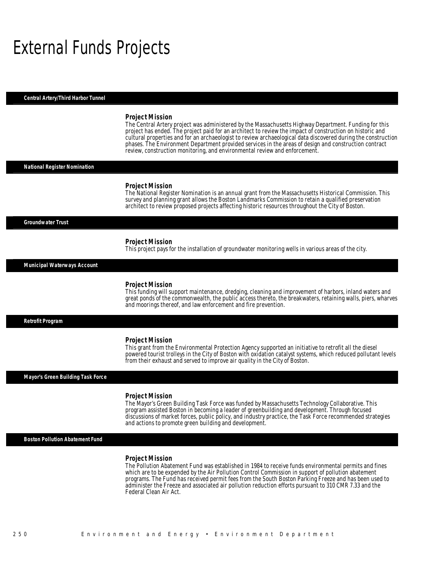### External Funds Projects

*Central Artery/Third Harbor Tunnel* 

#### *Project Mission*

The Central Artery project was administered by the Massachusetts Highway Department. Funding for this project has ended. The project paid for an architect to review the impact of construction on historic and cultural properties and for an archaeologist to review archaeological data discovered during the construction phases. The Environment Department provided services in the areas of design and construction contract review, construction monitoring, and environmental review and enforcement.

#### *National Register Nomination*

#### *Project Mission*

The National Register Nomination is an annual grant from the Massachusetts Historical Commission. This survey and planning grant allows the Boston Landmarks Commission to retain a qualified preservation architect to review proposed projects affecting historic resources throughout the City of Boston.

#### *Groundwater Trust*

#### *Project Mission*

This project pays for the installation of groundwater monitoring wells in various areas of the city.

#### *Municipal Waterways Account*

#### *Project Mission*

This funding will support maintenance, dredging, cleaning and improvement of harbors, inland waters and great ponds of the commonwealth, the public access thereto, the breakwaters, retaining walls, piers, wharves and moorings thereof, and law enforcement and fire prevention.

*Retrofit Program* 

#### *Project Mission*

This grant from the Environmental Protection Agency supported an initiative to retrofit all the diesel powered tourist trolleys in the City of Boston with oxidation catalyst systems, which reduced pollutant levels from their exhaust and served to improve air quality in the City of Boston.

*Mayor's Green Building Task Force* 

#### *Project Mission*

The Mayor's Green Building Task Force was funded by Massachusetts Technology Collaborative. This program assisted Boston in becoming a leader of greenbuilding and development. Through focused discussions of market forces, public policy, and industry practice, the Task Force recommended strategies and actions to promote green building and development. 

*Boston Pollution Abatement Fund* 

#### *Project Mission*

The Pollution Abatement Fund was established in 1984 to receive funds environmental permits and fines which are to be expended by the Air Pollution Control Commission in support of pollution abatement programs. The Fund has received permit fees from the South Boston Parking Freeze and has been used to administer the Freeze and associated air pollution reduction efforts pursuant to 310 CMR 7.33 and the Federal Clean Air Act.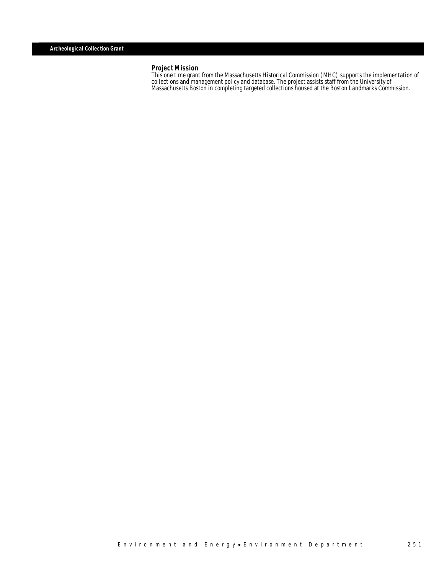#### *Project Mission*

This one time grant from the Massachusetts Historical Commission (MHC) supports the implementation of collections and management policy and database. The project assists staff from the University of Massachusetts Boston in completing targeted collections housed at the Boston Landmarks Commission.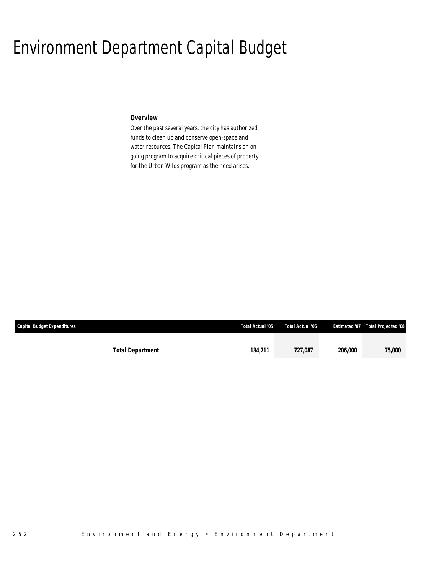### Environment Department Capital Budget

#### *Overview*

Over the past several years, the city has authorized funds to clean up and conserve open-space and water resources. The Capital Plan maintains an ongoing program to acquire critical pieces of property for the Urban Wilds program as the need arises..

| <b>Capital Budget Expenditures</b> |                         | Total Actual '05 | Total Actual '06 |         | Estimated '07  Total Projected '08 |
|------------------------------------|-------------------------|------------------|------------------|---------|------------------------------------|
|                                    | <b>Total Department</b> | 134,711          | 727.087          | 206,000 | 75,000                             |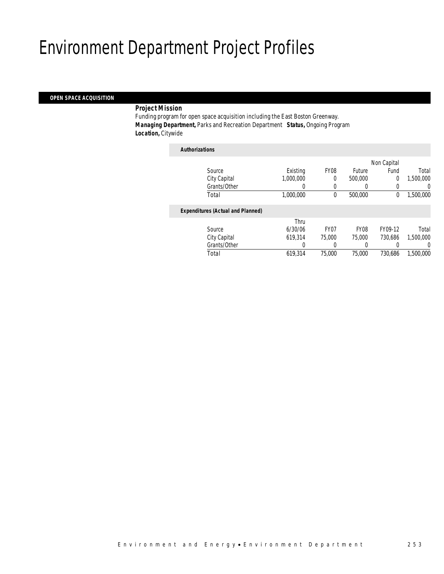## Environment Department Project Profiles

#### *OPEN SPACE ACQUISITION*

#### *Project Mission*

Funding program for open space acquisition including the East Boston Greenway. *Managing Department,* Parks and Recreation Department *Status,* Ongoing Program *Location,* Citywide

| <b>Authorizations</b>                    |           |                  |                  |                |           |
|------------------------------------------|-----------|------------------|------------------|----------------|-----------|
|                                          |           |                  |                  | Non Capital    |           |
| Source                                   | Existing  | <b>FY08</b>      | Future           | Fund           | Total     |
| City Capital                             | 1.000.000 | $\theta$         | 500,000          | $\overline{0}$ | 1,500,000 |
| Grants/Other                             | 0         | $\Omega$         | $\left( \right)$ | 0              | 0         |
| Total                                    | 1,000,000 | 0                | 500,000          | 0              | 1,500,000 |
| <b>Expenditures (Actual and Planned)</b> |           |                  |                  |                |           |
|                                          | Thru      |                  |                  |                |           |
| Source                                   | 6/30/06   | FY <sub>07</sub> | <b>FY08</b>      | FY09-12        | Total     |
| City Capital                             | 619.314   | 75,000           | 75,000           | 730.686        | 1,500,000 |
| Grants/Other                             | 0         | $\left($         | 0                | 0              | 0         |
| Total                                    | 619,314   | 75,000           | 75,000           | 730.686        | 1,500,000 |
|                                          |           |                  |                  |                |           |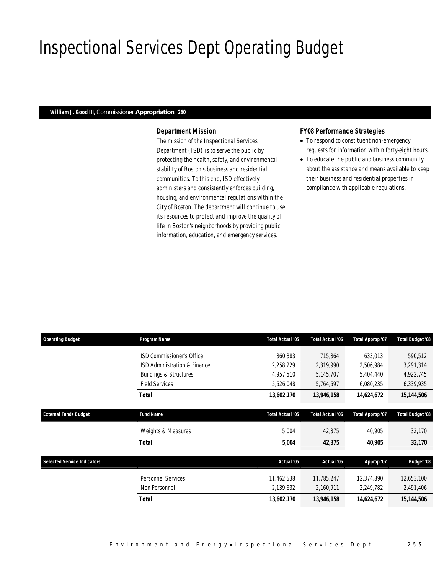## Inspectional Services Dept Operating Budget

### *William J. Good III, Commissioner Appropriation: 260*

#### *Department Mission*

The mission of the Inspectional Services Department (ISD) is to serve the public by protecting the health, safety, and environmental stability of Boston's business and residential communities. To this end, ISD effectively administers and consistently enforces building, housing, and environmental regulations within the City of Boston. The department will continue to use its resources to protect and improve the quality of life in Boston's neighborhoods by providing public information, education, and emergency services.

### *FY08 Performance Strategies*

- To respond to constituent non-emergency requests for information within forty-eight hours.
- To educate the public and business community about the assistance and means available to keep their business and residential properties in compliance with applicable regulations.

| <b>Operating Budget</b>            | Program Name                      | Total Actual '05 | Total Actual '06 | Total Approp '07 | <b>Total Budget '08</b> |
|------------------------------------|-----------------------------------|------------------|------------------|------------------|-------------------------|
|                                    | <b>ISD Commissioner's Office</b>  | 860,383          | 715,864          | 633,013          | 590,512                 |
|                                    | ISD Administration & Finance      | 2,258,229        | 2,319,990        | 2,506,984        | 3,291,314               |
|                                    | <b>Buildings &amp; Structures</b> | 4,957,510        | 5,145,707        | 5,404,440        | 4,922,745               |
|                                    | <b>Field Services</b>             | 5,526,048        | 5,764,597        | 6,080,235        | 6,339,935               |
|                                    | Total                             | 13,602,170       | 13,946,158       | 14,624,672       | 15,144,506              |
| <b>External Funds Budget</b>       | <b>Fund Name</b>                  | Total Actual '05 | Total Actual '06 | Total Approp '07 | <b>Total Budget '08</b> |
|                                    | Weights & Measures                | 5,004            | 42,375           | 40,905           | 32,170                  |
|                                    | Total                             | 5,004            | 42,375           | 40,905           | 32,170                  |
| <b>Selected Service Indicators</b> |                                   | Actual '05       | Actual '06       | Approp '07       | <b>Budget '08</b>       |
|                                    | <b>Personnel Services</b>         | 11,462,538       | 11,785,247       | 12,374,890       | 12,653,100              |
|                                    | Non Personnel                     | 2,139,632        | 2,160,911        | 2,249,782        | 2,491,406               |
|                                    | <b>Total</b>                      | 13,602,170       | 13,946,158       | 14,624,672       | 15,144,506              |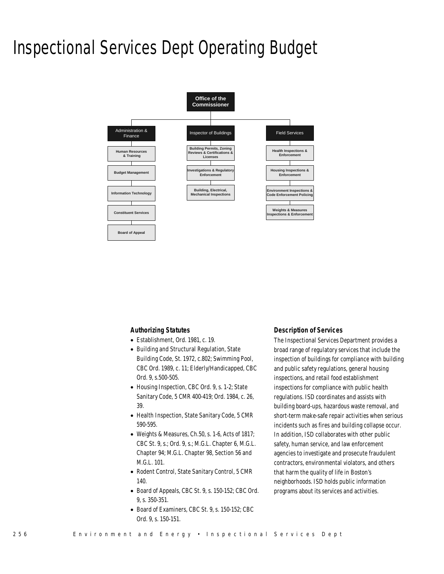### Inspectional Services Dept Operating Budget



#### *Authorizing Statutes*

- Establishment, Ord. 1981, c. 19.
- Building and Structural Regulation, State Building Code, St. 1972, c.802; Swimming Pool, CBC Ord. 1989, c. 11; Elderly/Handicapped, CBC Ord. 9, s.500-505.
- Housing Inspection, CBC Ord. 9, s. 1-2; State Sanitary Code, 5 CMR 400-419; Ord. 1984, c. 26, 39.
- Health Inspection, State Sanitary Code, 5 CMR 590-595.
- Weights & Measures, Ch.50, s. 1-6, Acts of 1817; CBC St. 9, s.; Ord. 9, s.; M.G.L. Chapter 6, M.G.L. Chapter 94; M.G.L. Chapter 98, Section 56 and M.G.L. 101.
- Rodent Control, State Sanitary Control, 5 CMR 140.
- Board of Appeals, CBC St. 9, s. 150-152; CBC Ord. 9, s. 350-351.
- Board of Examiners, CBC St. 9, s. 150-152; CBC Ord. 9, s. 150-151.

#### *Description of Services*

The Inspectional Services Department provides a broad range of regulatory services that include the inspection of buildings for compliance with building and public safety regulations, general housing inspections, and retail food establishment inspections for compliance with public health regulations. ISD coordinates and assists with building board-ups, hazardous waste removal, and short-term make-safe repair activities when serious incidents such as fires and building collapse occur. In addition, ISD collaborates with other public safety, human service, and law enforcement agencies to investigate and prosecute fraudulent contractors, environmental violators, and others that harm the quality of life in Boston's neighborhoods. ISD holds public information programs about its services and activities.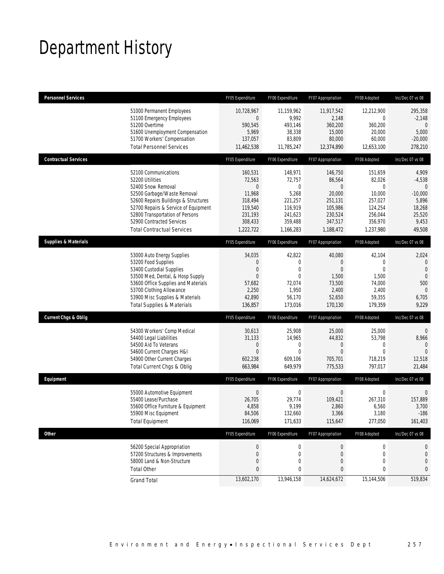## Department History

| <b>Personnel Services</b>       |                                                                                                                                                                                                                                                                                   | FY05 Expenditure                                                                                       | FY06 Expenditure                                                                                   | FY07 Appropriation                                                                               | FY08 Adopted                                                                              | Inc/Dec 07 vs 08                                                                                 |
|---------------------------------|-----------------------------------------------------------------------------------------------------------------------------------------------------------------------------------------------------------------------------------------------------------------------------------|--------------------------------------------------------------------------------------------------------|----------------------------------------------------------------------------------------------------|--------------------------------------------------------------------------------------------------|-------------------------------------------------------------------------------------------|--------------------------------------------------------------------------------------------------|
|                                 | 51000 Permanent Employees<br>51100 Emergency Employees<br>51200 Overtime<br>51600 Unemployment Compensation<br>51700 Workers' Compensation<br><b>Total Personnel Services</b>                                                                                                     | 10,728,967<br>$\mathbf 0$<br>590,545<br>5,969<br>137,057<br>11,462,538                                 | 11,159,962<br>9,992<br>493,146<br>38,338<br>83,809<br>11,785,247                                   | 11,917,542<br>2,148<br>360,200<br>15,000<br>80,000<br>12,374,890                                 | 12,212,900<br>0<br>360,200<br>20,000<br>60,000<br>12,653,100                              | 295,358<br>$-2,148$<br>$\theta$<br>5,000<br>$-20,000$<br>278,210                                 |
| <b>Contractual Services</b>     |                                                                                                                                                                                                                                                                                   | FY05 Expenditure                                                                                       | FY06 Expenditure                                                                                   | FY07 Appropriation                                                                               | FY08 Adopted                                                                              | Inc/Dec 07 vs 08                                                                                 |
|                                 | 52100 Communications<br>52200 Utilities<br>52400 Snow Removal<br>52500 Garbage/Waste Removal<br>52600 Repairs Buildings & Structures<br>52700 Repairs & Service of Equipment<br>52800 Transportation of Persons<br>52900 Contracted Services<br><b>Total Contractual Services</b> | 160,531<br>72,563<br>$\overline{0}$<br>11,968<br>318,494<br>119,540<br>231,193<br>308,433<br>1,222,722 | 148,971<br>72,757<br>$\mathbf 0$<br>5,268<br>221,257<br>116,919<br>241,623<br>359,488<br>1,166,283 | 146,750<br>86,564<br>$\Omega$<br>20,000<br>251,131<br>105,986<br>230,524<br>347,517<br>1,188,472 | 151,659<br>82,026<br>0<br>10,000<br>257,027<br>124,254<br>256,044<br>356,970<br>1,237,980 | 4,909<br>$-4,538$<br>$\overline{0}$<br>$-10,000$<br>5,896<br>18,268<br>25,520<br>9,453<br>49,508 |
| <b>Supplies &amp; Materials</b> |                                                                                                                                                                                                                                                                                   | FY05 Expenditure                                                                                       | FY06 Expenditure                                                                                   | FY07 Appropriation                                                                               | FY08 Adopted                                                                              | Inc/Dec 07 vs 08                                                                                 |
|                                 | 53000 Auto Energy Supplies<br>53200 Food Supplies<br>53400 Custodial Supplies<br>53500 Med, Dental, & Hosp Supply<br>53600 Office Supplies and Materials<br>53700 Clothing Allowance<br>53900 Misc Supplies & Materials<br><b>Total Supplies &amp; Materials</b>                  | 34,035<br>$\mathbf{0}$<br>$\mathbf{0}$<br>$\overline{0}$<br>57,682<br>2,250<br>42,890<br>136,857       | 42,822<br>0<br>$\mathbf{0}$<br>$\theta$<br>72,074<br>1,950<br>56,170<br>173,016                    | 40,080<br>$\overline{0}$<br>$\Omega$<br>1,500<br>73,500<br>2,400<br>52,650<br>170,130            | 42,104<br>$\mathbf 0$<br>$\theta$<br>1,500<br>74,000<br>2,400<br>59,355<br>179,359        | 2,024<br>0<br>$\mathbf{0}$<br>$\overline{0}$<br>500<br>$\mathbf{0}$<br>6,705<br>9,229            |
| <b>Current Chgs &amp; Oblig</b> |                                                                                                                                                                                                                                                                                   | FY05 Expenditure                                                                                       | FY06 Expenditure                                                                                   | FY07 Appropriation                                                                               | FY08 Adopted                                                                              | Inc/Dec 07 vs 08                                                                                 |
|                                 | 54300 Workers' Comp Medical<br>54400 Legal Liabilities<br>54500 Aid To Veterans<br>54600 Current Charges H&I<br>54900 Other Current Charges<br>Total Current Chgs & Oblig                                                                                                         | 30,613<br>31,133<br>$\overline{0}$<br>$\mathbf{0}$<br>602,238<br>663,984                               | 25,908<br>14,965<br>0<br>$\Omega$<br>609,106<br>649,979                                            | 25,000<br>44,832<br>$\overline{0}$<br>$\Omega$<br>705,701<br>775,533                             | 25,000<br>53,798<br>0<br>0<br>718,219<br>797,017                                          | 0<br>8,966<br>$\theta$<br>$\Omega$<br>12,518<br>21,484                                           |
| Equipment                       |                                                                                                                                                                                                                                                                                   | FY05 Expenditure                                                                                       | FY06 Expenditure                                                                                   | FY07 Appropriation                                                                               | FY08 Adopted                                                                              | Inc/Dec 07 vs 08                                                                                 |
|                                 | 55000 Automotive Equipment<br>55400 Lease/Purchase<br>55600 Office Furniture & Equipment<br>55900 Misc Equipment<br><b>Total Equipment</b>                                                                                                                                        | $\boldsymbol{0}$<br>26,705<br>4,858<br>84,506<br>116,069                                               | $\mathbf 0$<br>29,774<br>9,199<br>132,660<br>171,633                                               | $\boldsymbol{0}$<br>109,421<br>2,860<br>3,366<br>115,647                                         | 0<br>267,310<br>6,560<br>3,180<br>277,050                                                 | $\mathbf 0$<br>157,889<br>3,700<br>$-186$<br>161,403                                             |
| <b>Other</b>                    |                                                                                                                                                                                                                                                                                   | FY05 Expenditure                                                                                       | FY06 Expenditure                                                                                   | FY07 Appropriation                                                                               | FY08 Adopted                                                                              | Inc/Dec 07 vs 08                                                                                 |
|                                 | 56200 Special Appropriation<br>57200 Structures & Improvements<br>58000 Land & Non-Structure<br><b>Total Other</b>                                                                                                                                                                | 0<br>$\mathbf 0$<br>$\mathbf 0$<br>$\bf{0}$                                                            | $\boldsymbol{0}$<br>0<br>0<br>0                                                                    | 0<br>$\boldsymbol{0}$<br>0<br>0                                                                  | 0<br>0<br>0<br>0                                                                          | 0<br>$\mathbf 0$<br>0<br>0                                                                       |
|                                 | <b>Grand Total</b>                                                                                                                                                                                                                                                                | 13,602,170                                                                                             | 13,946,158                                                                                         | 14,624,672                                                                                       | 15,144,506                                                                                | 519,834                                                                                          |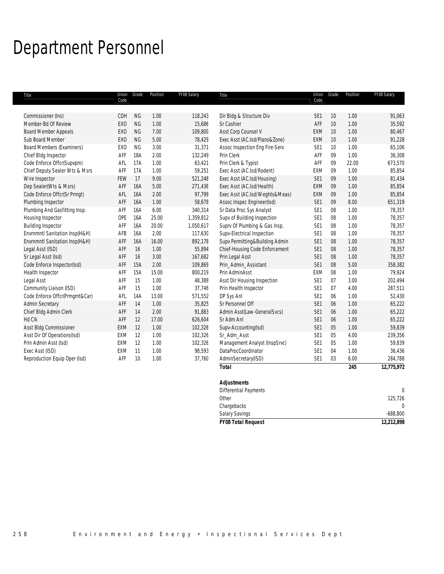## Department Personnel

| Title                            | Code            | Union Grade | Position | FY08 Salary | Title                          | Code            | Union Grade | Position | FY08 Salary  |
|----------------------------------|-----------------|-------------|----------|-------------|--------------------------------|-----------------|-------------|----------|--------------|
|                                  |                 |             |          |             |                                |                 |             |          |              |
| Commissioner (Ins)               | CDH             | <b>NG</b>   | 1.00     | 118,243     | Dir Bldg & Structure Div       | SE <sub>1</sub> | 10          | 1.00     | 91,063       |
| Member-Bd Of Review              | <b>EXO</b>      | <b>NG</b>   | 1.00     | 15,686      | Sr Cashier                     | AFF             | 10          | 1.00     | 35,592       |
| <b>Board Member Appeals</b>      | EX <sub>0</sub> | <b>NG</b>   | 7.00     | 109,800     | Asst Corp Counsel V            | EXM             | 10          | 1.00     | 80,467       |
| Sub Board Member                 | EX <sub>0</sub> | <b>NG</b>   | 5.00     | 78,429      | Exec Asst (AC.Isd/Plans&Zone)  | EXM             | 10          | 1.00     | 91,228       |
| <b>Board Members (Examiners)</b> | EX <sub>0</sub> | <b>NG</b>   | 3.00     | 31,371      | Assoc Inspection Eng Fire-Serv | SE <sub>1</sub> | 10          | 1.00     | 65,106       |
| Chief Bldg Inspector             | AFF             | <b>18A</b>  | 2.00     | 132,249     | Prin Clerk                     | AFF             | 09          | 1.00     | 36,308       |
| Code Enforce Offcr(Supvpm)       | AFL             | 17A         | 1.00     | 63,421      | Prin Clerk & Typist            | AFF             | 09          | 22.00    | 673,570      |
| Chief Deputy Sealer Wts & Msrs   | AFF             | 17A         | 1.00     | 59,251      | Exec Asst (AC.Isd/Rodent)      | EXM             | 09          | 1.00     | 85,854       |
| Wire Inspector                   | FEW             | 17          | 9.00     | 521,248     | Exec Asst (AC.Isd/Housing)     | SE <sub>1</sub> | 09          | 1.00     | 81,434       |
| Dep Sealer(Wts & Msrs)           | AFF             | 16A         | 5.00     | 271,436     | Exec Asst (AC.Isd/Health)      | EXM             | 09          | 1.00     | 85,854       |
| Code Enforce Offcr(Sr Prmgt)     | AFL             | 16A         | 2.00     | 97,799      | Exec Asst (AC.Isd/Weghts&Meas) | EXM             | 09          | 1.00     | 85,854       |
| Plumbing Inspector               | AFF             | 16A         | 1.00     | 58,678      | Assoc Inspec Engineer(Isd)     | SE1             | 09          | 8.00     | 651,319      |
| Plumbing And Gasfitting Insp.    | AFF             | 16A         | 6.00     | 340,314     | Sr Data Proc Sys Analyst       | SE <sub>1</sub> | 08          | 1.00     | 78,357       |
| Housing Inspector                | OPE             | 16A         | 25.00    | 1,359,812   | Supv of Building Inspection    | SE <sub>1</sub> | 08          | 1.00     | 78,357       |
| <b>Building Inspector</b>        | AFF             | 16A         | 20.00    | 1,050,617   | Suprv Of Plumbing & Gas Insp.  | SE <sub>1</sub> | 08          | 1.00     | 78,357       |
| Envrnmntl Sanitation Insp(H&H)   | AFB             | 16A         | 2.00     | 117,630     | Supv-Electrical Inspection     | SE <sub>1</sub> | 08          | 1.00     | 78,357       |
| Envrnmntl Sanitation Insp(H&H)   | AFF             | 16A         | 16.00    | 892,178     | Supv Permitting&Building Admin | SE1             | 08          | 1.00     | 78,357       |
| Legal Asst (ISD)                 | AFF             | 16          | 1.00     | 55,894      | Chief-Housing Code Enforcement | SE1             | 08          | 1.00     | 78,357       |
| Sr Legal Asst (Isd)              | AFF             | 16          | 3.00     | 167,682     | Prin Legal Asst                | SE <sub>1</sub> | 08          | 1.00     | 78,357       |
| Code Enforce Inspector(Isd)      | AFF             | 15A         | 2.00     | 109,869     | Prin_Admin_Assistant           | SE1             | 08          | 5.00     | 358,382      |
| Health Inspector                 | AFF             | 15A         | 15.00    | 800,219     | Prin AdminAsst                 | EXM             | 08          | 1.00     | 79,924       |
| Legal Asst                       | AFF             | 15          | 1.00     | 48,388      | Asst Dir Housing Inspection    | SE <sub>1</sub> | 07          | 3.00     | 202,494      |
| Community Liaison (ISD)          | AFF             | 15          | 1.00     | 37,746      | Prin Health Inspector          | SE1             | 07          | 4.00     | 287,511      |
| Code Enforce Offcr(Prmgmt&Car)   | AFL             | 14A         | 13.00    | 571,552     | DP Sys Anl                     | SE <sub>1</sub> | 06          | 1.00     | 52,430       |
| <b>Admin Secretary</b>           | AFF             | 14          | 1.00     | 35,825      | Sr Personnel Off               | SE1             | 06          | 1.00     | 65,222       |
| Chief Bldg Admin Clerk           | AFF             | 14          | 2.00     | 91,883      | Admin Asst(Law-GeneralSvcs)    | SE <sub>1</sub> | 06          | 1.00     | 65,222       |
| Hd Clk                           | AFF             | 12          | 17.00    | 626,604     | Sr Adm Anl                     | SE1             | 06          | 1.00     | 65,222       |
| Asst Bldg Commissioner           | EXM             | 12          | 1.00     | 102,326     | Supv-Accounting(Isd)           | SE1             | 05          | 1.00     | 59,839       |
| Asst Dir Of Operations(Isd)      | EXM             | 12          | 1.00     | 102,326     | Sr_Adm_Asst                    | SE <sub>1</sub> | 05          | 4.00     | 239,356      |
| Prin Admin Asst (Isd)            | EXM             | 12          | 1.00     | 102,326     | Management Analyst (InspSrvc)  | SE <sub>1</sub> | 05          | 1.00     | 59,839       |
| Exec Asst (ISD)                  | EXM             | 11          | 1.00     | 98,593      | DataProcCoordinator            | SE <sub>1</sub> | 04          | 1.00     | 36,436       |
| Reproduction Equip Oper (Isd)    | AFF             | 10          | 1.00     | 37,760      | AdminSecretary(ISD)            | SE <sub>1</sub> | 03          | 6.00     | 284,788      |
|                                  |                 |             |          |             | <b>Total</b>                   |                 |             | 245      | 12,775,972   |
|                                  |                 |             |          |             | <b>Adjustments</b>             |                 |             |          |              |
|                                  |                 |             |          |             | <b>Differential Payments</b>   |                 |             |          | $\mathbf{0}$ |

| <b>FY08 Total Request</b> | 12,212,898 |
|---------------------------|------------|
| <b>Salary Savings</b>     | $-688,800$ |
| Chargebacks               |            |
| Other                     | 125,726    |
|                           |            |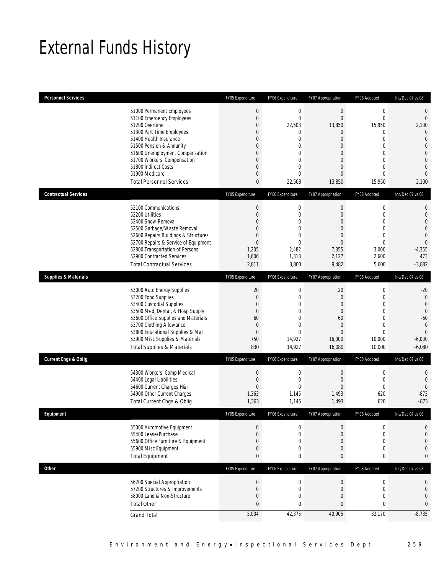## External Funds History

| <b>Personnel Services</b>       |                                                                                                                                                                                                                                                                                                            | FY05 Expenditure                                                                                                                         | FY06 Expenditure                                                                                                                                              | FY07 Appropriation                                                                                                                                    | FY08 Adopted                                                                                                                               | Inc/Dec 07 vs 08                                                                                                                                                  |
|---------------------------------|------------------------------------------------------------------------------------------------------------------------------------------------------------------------------------------------------------------------------------------------------------------------------------------------------------|------------------------------------------------------------------------------------------------------------------------------------------|---------------------------------------------------------------------------------------------------------------------------------------------------------------|-------------------------------------------------------------------------------------------------------------------------------------------------------|--------------------------------------------------------------------------------------------------------------------------------------------|-------------------------------------------------------------------------------------------------------------------------------------------------------------------|
|                                 | 51000 Permanent Employees<br>51100 Emergency Employees<br>51200 Overtime<br>51300 Part Time Employees<br>51400 Health Insurance<br>51500 Pension & Annunity<br>51600 Unemployment Compensation<br>51700 Workers' Compensation<br>51800 Indirect Costs<br>51900 Medicare<br><b>Total Personnel Services</b> | $\boldsymbol{0}$<br>$\mathbf 0$<br>$\overline{0}$<br>$\mathbf 0$<br>0<br>0<br>$\overline{0}$<br>0<br>$\overline{0}$<br>0<br>$\mathbf{0}$ | $\mathbf 0$<br>$\mathbf{0}$<br>22,503<br>$\mathbf{0}$<br>$\mathbf{0}$<br>$\mathbf{0}$<br>$\mathbf{0}$<br>$\mathbf{0}$<br>$\overline{0}$<br>$\theta$<br>22,503 | $\boldsymbol{0}$<br>$\mathbf 0$<br>13,850<br>$\theta$<br>$\overline{0}$<br>$\mathbf 0$<br>$\overline{0}$<br>0<br>$\overline{0}$<br>$\Omega$<br>13,850 | $\mathbf 0$<br>$\mathbf{0}$<br>15,950<br>$\mathbf 0$<br>$\overline{0}$<br>0<br>$\overline{0}$<br>0<br>$\overline{0}$<br>$\Omega$<br>15,950 | $\mathbf 0$<br>$\mathbf 0$<br>2,100<br>$\mathbf{0}$<br>$\mathbf{0}$<br>$\overline{0}$<br>$\mathbf{0}$<br>$\overline{0}$<br>$\overline{0}$<br>$\mathbf 0$<br>2,100 |
| <b>Contractual Services</b>     |                                                                                                                                                                                                                                                                                                            | FY05 Expenditure                                                                                                                         | FY06 Expenditure                                                                                                                                              | FY07 Appropriation                                                                                                                                    | FY08 Adopted                                                                                                                               | Inc/Dec 07 vs 08                                                                                                                                                  |
|                                 | 52100 Communications<br>52200 Utilities<br>52400 Snow Removal<br>52500 Garbage/Waste Removal<br>52600 Repairs Buildings & Structures<br>52700 Repairs & Service of Equipment<br>52800 Transportation of Persons<br>52900 Contracted Services<br><b>Total Contractual Services</b>                          | $\mathbf 0$<br>$\mathbf 0$<br>0<br>0<br>$\overline{0}$<br>0<br>1,205<br>1,606<br>2,811                                                   | $\mathbf 0$<br>$\mathbf{0}$<br>$\mathbf{0}$<br>$\mathbf{0}$<br>$\mathbf{0}$<br>$\theta$<br>2,482<br>1,318<br>3,800                                            | $\mathbf 0$<br>$\mathbf 0$<br>$\overline{0}$<br>$\mathbf 0$<br>$\mathbf 0$<br>$\Omega$<br>7,355<br>2,127<br>9,482                                     | 0<br>$\mathbf 0$<br>$\overline{0}$<br>$\mathbf 0$<br>$\overline{0}$<br>0<br>3,000<br>2,600<br>5,600                                        | 0<br>$\mathbf{0}$<br>$\mathbf 0$<br>$\mathbf{0}$<br>$\mathbf 0$<br>$\overline{0}$<br>$-4,355$<br>473<br>$-3,882$                                                  |
| <b>Supplies &amp; Materials</b> |                                                                                                                                                                                                                                                                                                            | FY05 Expenditure                                                                                                                         | FY06 Expenditure                                                                                                                                              | FY07 Appropriation                                                                                                                                    | FY08 Adopted                                                                                                                               | Inc/Dec 07 vs 08                                                                                                                                                  |
|                                 | 53000 Auto Energy Supplies<br>53200 Food Supplies<br>53400 Custodial Supplies<br>53500 Med, Dental, & Hosp Supply<br>53600 Office Supplies and Materials<br>53700 Clothing Allowance<br>53800 Educational Supplies & Mat<br>53900 Misc Supplies & Materials<br><b>Total Supplies &amp; Materials</b>       | 20<br>$\mathbf 0$<br>$\mathbf{0}$<br>$\mathbf{0}$<br>60<br>$\mathbf{0}$<br>$\theta$<br>750<br>830                                        | 0<br>$\mathbf{0}$<br>$\mathbf{0}$<br>$\mathbf{0}$<br>$\mathbf{0}$<br>$\mathbf{0}$<br>$\theta$<br>14,927<br>14,927                                             | 20<br>$\mathbf 0$<br>$\mathbf{0}$<br>$\theta$<br>60<br>$\theta$<br>$\Omega$<br>16,000<br>16,080                                                       | 0<br>$\mathbf 0$<br>$\overline{0}$<br>0<br>$\overline{0}$<br>$\overline{0}$<br>$\Omega$<br>10,000<br>10,000                                | $-20$<br>$\mathbf{0}$<br>$\mathbf{0}$<br>$\overline{0}$<br>$-60$<br>$\mathbf{0}$<br>$\Omega$<br>$-6,000$<br>$-6,080$                                              |
| <b>Current Chgs &amp; Oblig</b> |                                                                                                                                                                                                                                                                                                            | FY05 Expenditure                                                                                                                         | FY06 Expenditure                                                                                                                                              | FY07 Appropriation                                                                                                                                    | FY08 Adopted                                                                                                                               | Inc/Dec 07 vs 08                                                                                                                                                  |
|                                 | 54300 Workers' Comp Medical<br>54400 Legal Liabilities<br>54600 Current Charges H&I<br>54900 Other Current Charges<br>Total Current Chgs & Oblig                                                                                                                                                           | $\mathbf 0$<br>$\mathbf 0$<br>$\overline{0}$<br>1,363<br>1,363                                                                           | 0<br>$\mathbf{0}$<br>$\mathbf{0}$<br>1,145<br>1,145                                                                                                           | $\boldsymbol{0}$<br>$\mathbf 0$<br>$\Omega$<br>1,493<br>1,493                                                                                         | 0<br>0<br>$\mathbf{0}$<br>620<br>620                                                                                                       | 0<br>$\mathbf{0}$<br>$\mathbf 0$<br>$-873$<br>$-873$                                                                                                              |
| Eauipment                       |                                                                                                                                                                                                                                                                                                            | <b>FYO5 Expenditure</b>                                                                                                                  | <b>EV06 Expenditure</b>                                                                                                                                       | FY07 Appropriation                                                                                                                                    | FY08 Adonted                                                                                                                               | Inc/Dec 07 vs 08                                                                                                                                                  |
|                                 | 55000 Automotive Equipment<br>55400 Lease/Purchase<br>55600 Office Furniture & Equipment<br>55900 Misc Equipment<br><b>Total Equipment</b>                                                                                                                                                                 | 0<br>$\overline{0}$<br>0<br>$\mathbf 0$<br>$\mathbf{0}$                                                                                  | $\mathbf 0$<br>$\mathbf{0}$<br>$\mathbf 0$<br>0<br>0                                                                                                          | $\mathbf 0$<br>$\overline{0}$<br>$\theta$<br>$\mathbf 0$<br>0                                                                                         | $\mathbf 0$<br>$\overline{0}$<br>0<br>$\mathbf 0$<br>0                                                                                     | 0<br>$\mathbf{0}$<br>$\overline{0}$<br>$\mathbf 0$<br>$\mathbf{0}$                                                                                                |
| Other                           |                                                                                                                                                                                                                                                                                                            | FY05 Expenditure                                                                                                                         | FY06 Expenditure                                                                                                                                              | FY07 Appropriation                                                                                                                                    | FY08 Adopted                                                                                                                               | Inc/Dec 07 vs 08                                                                                                                                                  |
|                                 | 56200 Special Appropriation<br>57200 Structures & Improvements<br>58000 Land & Non-Structure<br><b>Total Other</b>                                                                                                                                                                                         | $\boldsymbol{0}$<br>$\mathbf 0$<br>$\mathbf{0}$<br>$\mathbf{0}$<br>5,004                                                                 | $\mathbf 0$<br>$\mathbf 0$<br>$\mathbf 0$<br>$\bf{0}$<br>42,375                                                                                               | $\boldsymbol{0}$<br>$\mathbf 0$<br>$\theta$<br>$\pmb{0}$<br>40,905                                                                                    | $\mathbf 0$<br>$\mathbf 0$<br>$\mathbf 0$<br>0<br>32,170                                                                                   | $\mathbf 0$<br>$\mathbf 0$<br>$\mathbf 0$<br>$\bf{0}$<br>$-8,735$                                                                                                 |
|                                 | <b>Grand Total</b>                                                                                                                                                                                                                                                                                         |                                                                                                                                          |                                                                                                                                                               |                                                                                                                                                       |                                                                                                                                            |                                                                                                                                                                   |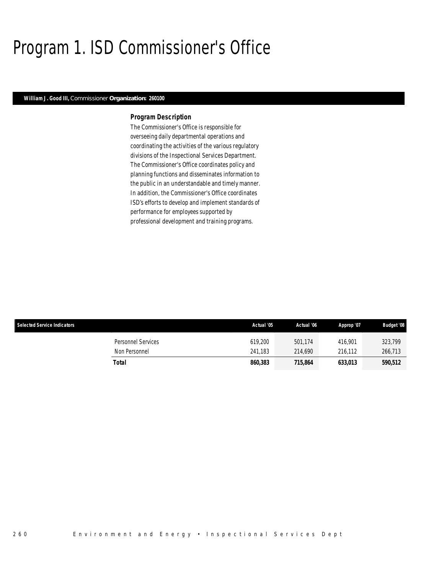## Program 1. ISD Commissioner's Office

#### *William J. Good III, Commissioner Organization: 260100*

#### *Program Description*

The Commissioner's Office is responsible for overseeing daily departmental operations and coordinating the activities of the various regulatory divisions of the Inspectional Services Department. The Commissioner's Office coordinates policy and planning functions and disseminates information to the public in an understandable and timely manner. In addition, the Commissioner's Office coordinates ISD's efforts to develop and implement standards of performance for employees supported by professional development and training programs.

| <b>Selected Service Indicators</b> | Actual '05 | Actual '06 | Approp '07 | <b>Budget '08</b> |
|------------------------------------|------------|------------|------------|-------------------|
| Personnel Services                 | 619,200    | 501,174    | 416.901    | 323,799           |
| Non Personnel                      | 241.183    | 214,690    | 216.112    | 266,713           |
| Total                              | 860,383    | 715.864    | 633.013    | 590,512           |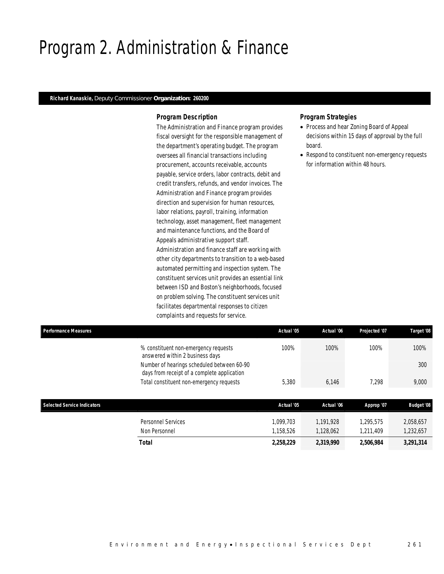### Program 2. Administration & Finance

#### *Richard Kanaskie, Deputy Commissioner Organization: 260200*

#### *Program Description*

The Administration and Finance program provides fiscal oversight for the responsible management of the department's operating budget. The program oversees all financial transactions including procurement, accounts receivable, accounts payable, service orders, labor contracts, debit and credit transfers, refunds, and vendor invoices. The Administration and Finance program provides direction and supervision for human resources, labor relations, payroll, training, information technology, asset management, fleet management and maintenance functions, and the Board of Appeals administrative support staff. Administration and finance staff are working with other city departments to transition to a web-based automated permitting and inspection system. The constituent services unit provides an essential link between ISD and Boston's neighborhoods, focused on problem solving. The constituent services unit facilitates departmental responses to citizen complaints and requests for service.

### *Program Strategies*

- Process and hear Zoning Board of Appeal decisions within 15 days of approval by the full board.
- Respond to constituent non-emergency requests for information within 48 hours.

| <b>Performance Measures</b>        |                                                                                           | Actual '05 | Actual '06 | Projected '07 | Target '08        |
|------------------------------------|-------------------------------------------------------------------------------------------|------------|------------|---------------|-------------------|
|                                    | % constituent non-emergency requests<br>answered within 2 business days                   | 100%       | 100%       | 100%          | 100%              |
|                                    | Number of hearings scheduled between 60-90<br>days from receipt of a complete application |            |            |               | 300               |
|                                    | Total constituent non-emergency requests                                                  | 5,380      | 6,146      | 7,298         | 9,000             |
|                                    |                                                                                           |            |            |               |                   |
| <b>Selected Service Indicators</b> |                                                                                           | Actual '05 | Actual '06 | Approp '07    | <b>Budget '08</b> |
|                                    | <b>Personnel Services</b>                                                                 | 1.099.703  | 1.191.928  | 1.295.575     | 2,058,657         |
|                                    | Non Personnel                                                                             | 1,158,526  | 1,128,062  | 1.211.409     | 1,232,657         |
|                                    | Total                                                                                     | 2,258,229  | 2,319,990  | 2,506,984     | 3,291,314         |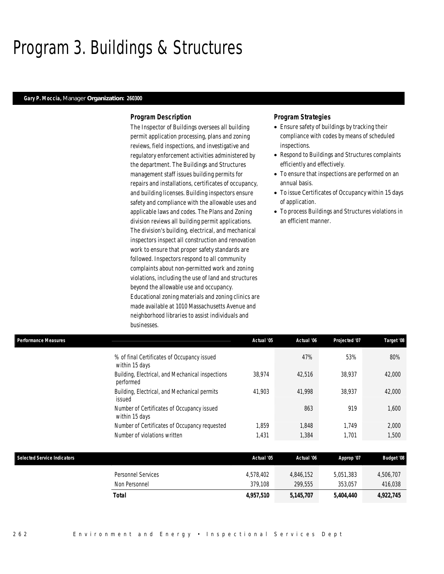### Program 3. Buildings & Structures

#### *Gary P. Moccia, Manager Organization: 260300*

#### *Program Description*

The Inspector of Buildings oversees all building permit application processing, plans and zoning reviews, field inspections, and investigative and regulatory enforcement activities administered by the department. The Buildings and Structures management staff issues building permits for repairs and installations, certificates of occupancy, and building licenses. Building inspectors ensure safety and compliance with the allowable uses and applicable laws and codes. The Plans and Zoning division reviews all building permit applications. The division's building, electrical, and mechanical inspectors inspect all construction and renovation work to ensure that proper safety standards are followed. Inspectors respond to all community complaints about non-permitted work and zoning violations, including the use of land and structures beyond the allowable use and occupancy. Educational zoning materials and zoning clinics are made available at 1010 Massachusetts Avenue and neighborhood libraries to assist individuals and businesses.

#### *Program Strategies*

- Ensure safety of buildings by tracking their compliance with codes by means of scheduled inspections.
- Respond to Buildings and Structures complaints efficiently and effectively.
- To ensure that inspections are performed on an annual basis.
- To issue Certificates of Occupancy within 15 days of application.
- To process Buildings and Structures violations in an efficient manner.

| <b>Performance Measures</b>        |                                                               | Actual '05 | Actual '06 | Projected '07 | Target '08        |
|------------------------------------|---------------------------------------------------------------|------------|------------|---------------|-------------------|
|                                    | % of final Certificates of Occupancy issued<br>within 15 days |            | 47%        | 53%           | 80%               |
|                                    | Building, Electrical, and Mechanical inspections<br>performed | 38.974     | 42.516     | 38,937        | 42,000            |
|                                    | Building, Electrical, and Mechanical permits<br>issued        | 41.903     | 41.998     | 38.937        | 42,000            |
|                                    | Number of Certificates of Occupancy issued<br>within 15 days  |            | 863        | 919           | 1,600             |
|                                    | Number of Certificates of Occupancy requested                 | 1.859      | 1.848      | 1.749         | 2,000             |
|                                    | Number of violations written                                  | 1,431      | 1,384      | 1,701         | 1,500             |
| <b>Selected Service Indicators</b> |                                                               | Actual '05 | Actual '06 | Approp '07    | <b>Budget '08</b> |

| sciected scribe maicators |                                     | Avuur vo             | Actual VV            | <i><b>Approp 01</b></i> | Duugci vo            |
|---------------------------|-------------------------------------|----------------------|----------------------|-------------------------|----------------------|
|                           | Personnel Services<br>Non Personnel | 4,578,402<br>379.108 | 4.846.152<br>299.555 | 5,051,383<br>353.057    | 4,506,707<br>416,038 |
|                           | Total                               | 4,957,510            | 5,145,707            | 5,404,440               | 4,922,745            |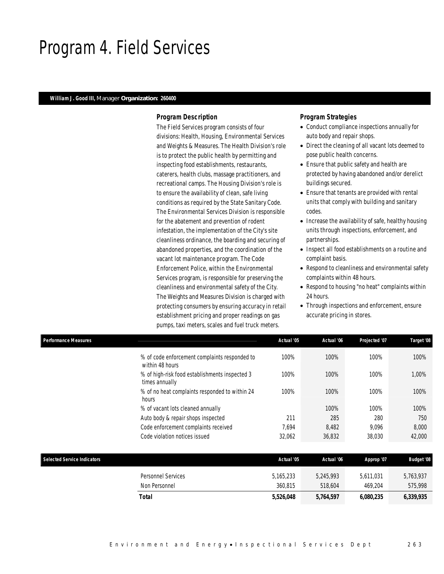### Program 4. Field Services

#### *William J. Good III, Manager Organization: 260400*

#### *Program Description*

The Field Services program consists of four divisions: Health, Housing, Environmental Services and Weights & Measures. The Health Division's role is to protect the public health by permitting and inspecting food establishments, restaurants, caterers, health clubs, massage practitioners, and recreational camps. The Housing Division's role is to ensure the availability of clean, safe living conditions as required by the State Sanitary Code. The Environmental Services Division is responsible for the abatement and prevention of rodent infestation, the implementation of the City's site cleanliness ordinance, the boarding and securing of abandoned properties, and the coordination of the vacant lot maintenance program. The Code Enforcement Police, within the Environmental Services program, is responsible for preserving the cleanliness and environmental safety of the City. The Weights and Measures Division is charged with protecting consumers by ensuring accuracy in retail establishment pricing and proper readings on gas pumps, taxi meters, scales and fuel truck meters.

#### *Program Strategies*

- Conduct compliance inspections annually for auto body and repair shops.
- Direct the cleaning of all vacant lots deemed to pose public health concerns.
- Ensure that public safety and health are protected by having abandoned and/or derelict buildings secured.
- Ensure that tenants are provided with rental units that comply with building and sanitary codes.
- Increase the availability of safe, healthy housing units through inspections, enforcement, and partnerships.
- Inspect all food establishments on a routine and complaint basis.
- Respond to cleanliness and environmental safety complaints within 48 hours.
- Respond to housing "no heat" complaints within 24 hours.
- Through inspections and enforcement, ensure accurate pricing in stores.

| <b>Performance Measures</b>        |                                                                  | Actual '05 | Actual '06 | Projected '07 | Target '08        |
|------------------------------------|------------------------------------------------------------------|------------|------------|---------------|-------------------|
|                                    | % of code enforcement complaints responded to<br>within 48 hours | 100%       | 100%       | 100%          | 100%              |
|                                    | % of high-risk food establishments inspected 3<br>times annually | 100%       | 100%       | 100%          | 1,00%             |
|                                    | % of no heat complaints responded to within 24<br>hours          | 100%       | 100%       | 100%          | 100%              |
|                                    | % of vacant lots cleaned annually                                |            | 100%       | 100%          | 100%              |
|                                    | Auto body & repair shops inspected                               | 211        | 285        | 280           | 750               |
|                                    | Code enforcement complaints received                             | 7,694      | 8,482      | 9,096         | 8,000             |
|                                    | Code violation notices issued                                    | 32,062     | 36,832     | 38,030        | 42,000            |
|                                    |                                                                  |            |            |               |                   |
| <b>Selected Service Indicators</b> |                                                                  | Actual '05 | Actual '06 | Approp '07    | <b>Budget '08</b> |
|                                    | <b>Personnel Services</b>                                        | 5,165,233  | 5,245,993  | 5,611,031     | 5,763,937         |
|                                    | Non Personnel                                                    | 360,815    | 518,604    | 469,204       | 575,998           |

*Total 5,526,048 5,764,597 6,080,235 6,339,935*